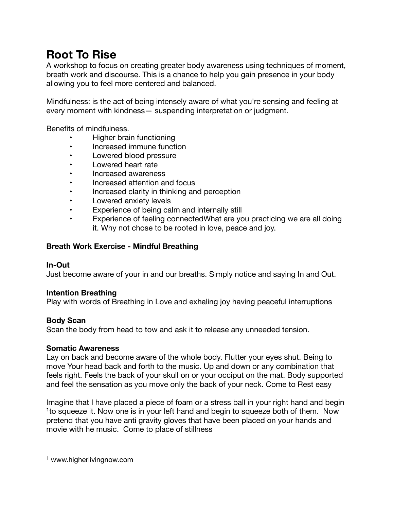# **Root To Rise**

A workshop to focus on creating greater body awareness using techniques of moment, breath work and discourse. This is a chance to help you gain presence in your body allowing you to feel more centered and balanced.

Mindfulness: is the act of being intensely aware of what you're sensing and feeling at every moment with kindness— suspending interpretation or judgment.

Benefits of mindfulness.

- Higher brain functioning
- Increased immune function
- Lowered blood pressure
- Lowered heart rate
- Increased awareness
- Increased attention and focus
- Increased clarity in thinking and perception
- Lowered anxiety levels
- Experience of being calm and internally still
- Experience of feeling connectedWhat are you practicing we are all doing it. Why not chose to be rooted in love, peace and joy.

## **Breath Work Exercise - Mindful Breathing**

## **In-Out**

Just become aware of your in and our breaths. Simply notice and saying In and Out.

## **Intention Breathing**

Play with words of Breathing in Love and exhaling joy having peaceful interruptions

# **Body Scan**

Scan the body from head to tow and ask it to release any unneeded tension.

## **Somatic Awareness**

Lay on back and become aware of the whole body. Flutter your eyes shut. Being to move Your head back and forth to the music. Up and down or any combination that feels right. Feels the back of your skull on or your occiput on the mat. Body supported and feel the sensation as you move only the back of your neck. Come to Rest easy

<span id="page-0-1"></span>Imagine that I have placed a piece of foam or a stress ball in your right hand and begin <sup>[1](#page-0-0)</sup> to squeeze it. Now one is in your left hand and begin to squeeze both of them. Now pretend that you have anti gravity gloves that have been placed on your hands and movie with he music. Come to place of stillness

<span id="page-0-0"></span>[<sup>1</sup>](#page-0-1) [www.higherlivingnow.com](http://www.higherlivingnow.com)